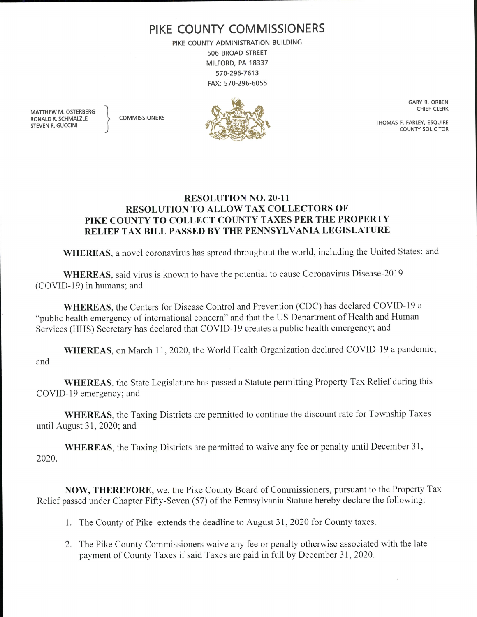## PIKE COUNTY COMMISSIONERS

PIKE COUNTY ADMINISTRATION BUILDING 506 BROAD STREET MILFORD, PA 18337 570-296-7613 FAX: 570-296- 6055

MATTHEW M. OSTERBERG RONALD R. SCHMALZLE <a>>
COMMISSIONERS STEVEN R. GUCCINI



GARY R. ORBEN CHIEF CLERK

THOMAS F. FARLEY, ESQUIRE COUNTY SOLICITOR

## **RESOLUTION NO. 20-11** RESOLUTION TO ALLOW TAX COLLECTORS OF PIKE COUNTY TO COLLECT COUNTY TAXES PER THE PROPERTY RELIEF TAX BILL PASSED BY THE PENNSYLVANIA LEGISLATURE

WHEREAS, a novel coronavirus has spread throughout the world, including the United States; and

WHEREAS, said virus is known to have the potential to cause Coronavirus Disease-2019 COVID- 19) in humans; and

WHEREAS, the Centers for Disease Control and Prevention (CDC) has declared COVID-19 a public health emergency of international concern" and that the US Department of Health and Human Services (HHS) Secretary has declared that COVID-19 creates a public health emergency; and

WHEREAS, on March 11, 2020, the World Health Organization declared COVID-19 a pandemic; and

WHEREAS, the State Legislature has passed a Statute permitting Property Tax Relief during this COVID-19 emergency; and

WHEREAS, the Taxing Districts are permitted to continue the discount rate for Township Taxes until August 31, 2020; and

WHEREAS, the Taxing Districts are permitted to waive any fee or penalty until December 31, 2020.

NOW, THEREFORE, we, the Pike County Board of Commissioners, pursuant to the Property Tax Relief passed under Chapter Fifty-Seven (57) of the Pennsylvania Statute hereby declare the following:

1. The County of Pike extends the deadline to August 31, 2020 for County taxes.

2. The Pike County Commissioners waive any fee or penalty otherwise associated with the late payment of County Taxes if said Taxes are paid in full by December 31, 2020.